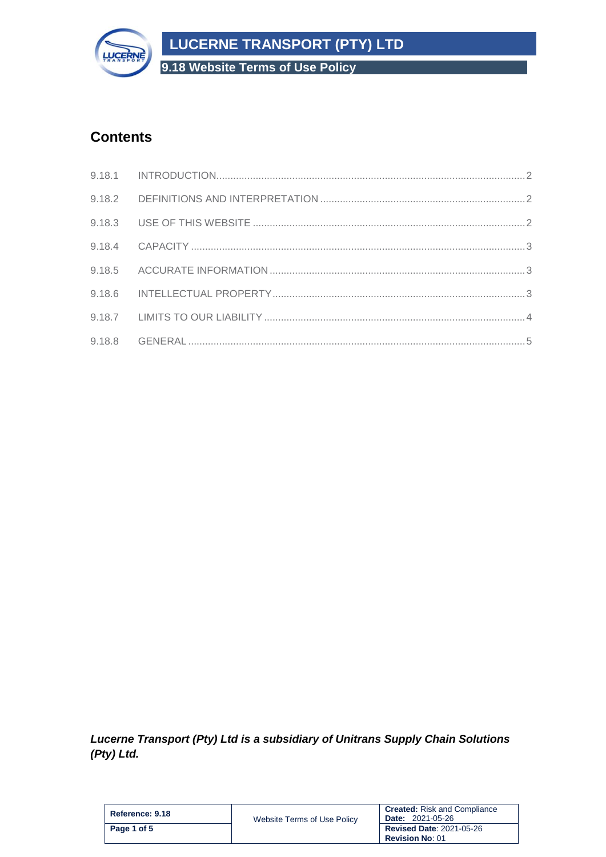**LUCERNE TRANSPORT (PTY) LTD**



**9.18 Website Terms of Use Policy**

# **Contents**

*Lucerne Transport (Pty) Ltd is a subsidiary of Unitrans Supply Chain Solutions (Pty) Ltd.*

| Reference: 9.18 | Website Terms of Use Policy | <b>Created:</b> Risk and Compliance<br><b>Date: 2021-05-26</b> |
|-----------------|-----------------------------|----------------------------------------------------------------|
| Page 1 of 5     |                             | <b>Revised Date: 2021-05-26</b><br><b>Revision No: 01</b>      |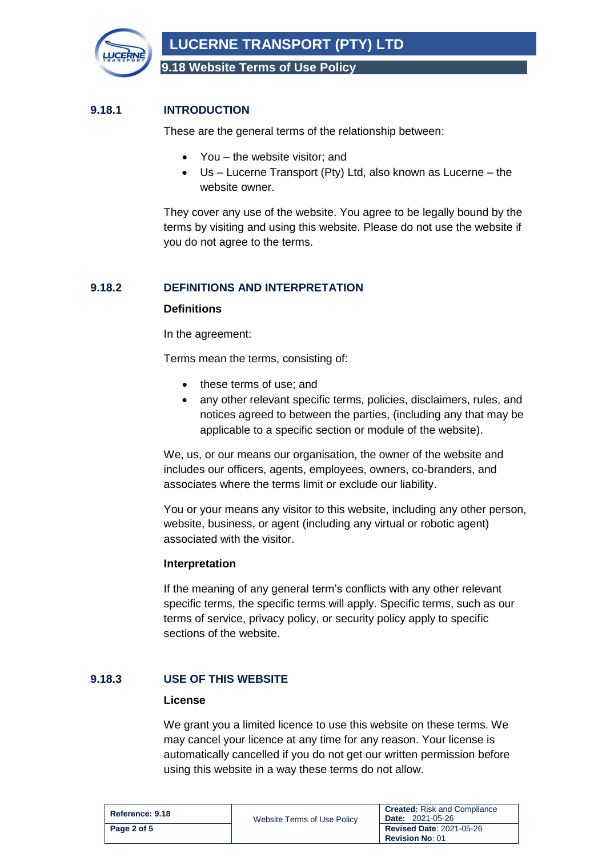

**LUCERNE TRANSPORT (PTY) LTD**

**9.18 Website Terms of Use Policy**

# <span id="page-1-0"></span>**9.18.1 INTRODUCTION**

These are the general terms of the relationship between:

- You the website visitor; and
- Us Lucerne Transport (Pty) Ltd, also known as Lucerne the website owner.

They cover any use of the website. You agree to be legally bound by the terms by visiting and using this website. Please do not use the website if you do not agree to the terms.

# <span id="page-1-1"></span>**9.18.2 DEFINITIONS AND INTERPRETATION**

# **Definitions**

In the agreement:

Terms mean the terms, consisting of:

- these terms of use; and
- any other relevant specific terms, policies, disclaimers, rules, and notices agreed to between the parties, (including any that may be applicable to a specific section or module of the website).

We, us, or our means our organisation, the owner of the website and includes our officers, agents, employees, owners, co-branders, and associates where the terms limit or exclude our liability.

You or your means any visitor to this website, including any other person, website, business, or agent (including any virtual or robotic agent) associated with the visitor.

#### **Interpretation**

If the meaning of any general term's conflicts with any other relevant specific terms, the specific terms will apply. Specific terms, such as our terms of service, privacy policy, or security policy apply to specific sections of the website.

# <span id="page-1-2"></span>**9.18.3 USE OF THIS WEBSITE**

#### **License**

We grant you a limited licence to use this website on these terms. We may cancel your licence at any time for any reason. Your license is automatically cancelled if you do not get our written permission before using this website in a way these terms do not allow.

| Reference: 9.18 | Website Terms of Use Policy | <b>Created:</b> Risk and Compliance<br><b>Date: 2021-05-26</b> |
|-----------------|-----------------------------|----------------------------------------------------------------|
| Page 2 of 5     |                             | <b>Revised Date: 2021-05-26</b><br><b>Revision No: 01</b>      |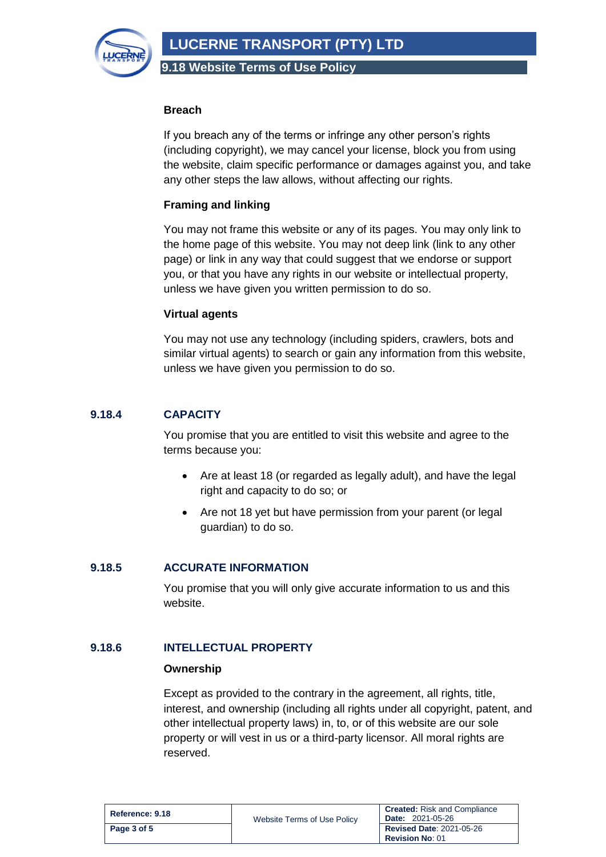**LUCERNE TRANSPORT (PTY) LTD**



**9.18 Website Terms of Use Policy**

### **Breach**

If you breach any of the terms or infringe any other person's rights (including copyright), we may cancel your license, block you from using the website, claim specific performance or damages against you, and take any other steps the law allows, without affecting our rights.

# **Framing and linking**

You may not frame this website or any of its pages. You may only link to the home page of this website. You may not deep link (link to any other page) or link in any way that could suggest that we endorse or support you, or that you have any rights in our website or intellectual property, unless we have given you written permission to do so.

# **Virtual agents**

You may not use any technology (including spiders, crawlers, bots and similar virtual agents) to search or gain any information from this website, unless we have given you permission to do so.

# <span id="page-2-0"></span>**9.18.4 CAPACITY**

You promise that you are entitled to visit this website and agree to the terms because you:

- Are at least 18 (or regarded as legally adult), and have the legal right and capacity to do so; or
- Are not 18 yet but have permission from your parent (or legal guardian) to do so.

# <span id="page-2-1"></span>**9.18.5 ACCURATE INFORMATION**

You promise that you will only give accurate information to us and this website.

# <span id="page-2-2"></span>**9.18.6 INTELLECTUAL PROPERTY**

# **Ownership**

Except as provided to the contrary in the agreement, all rights, title, interest, and ownership (including all rights under all copyright, patent, and other intellectual property laws) in, to, or of this website are our sole property or will vest in us or a third-party licensor. All moral rights are reserved.

| Reference: 9.18 | Website Terms of Use Policy | <b>Created:</b> Risk and Compliance<br><b>Date: 2021-05-26</b> |
|-----------------|-----------------------------|----------------------------------------------------------------|
| Page 3 of 5     |                             | <b>Revised Date: 2021-05-26</b><br><b>Revision No: 01</b>      |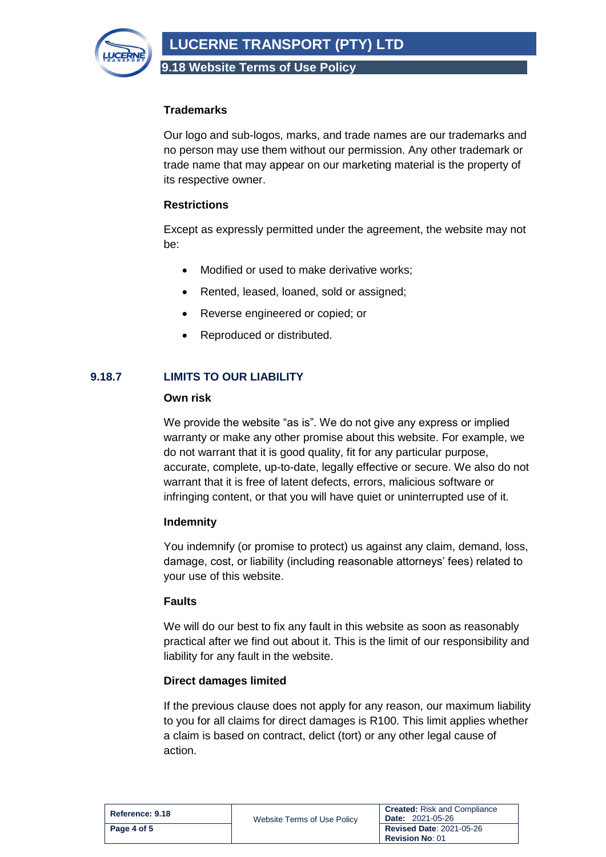

**9.18 Website Terms of Use Policy**

# **Trademarks**

Our logo and sub-logos, marks, and trade names are our trademarks and no person may use them without our permission. Any other trademark or trade name that may appear on our marketing material is the property of its respective owner.

# **Restrictions**

Except as expressly permitted under the agreement, the website may not be:

- Modified or used to make derivative works;
- Rented, leased, loaned, sold or assigned;
- Reverse engineered or copied; or
- Reproduced or distributed.

# <span id="page-3-0"></span>**9.18.7 LIMITS TO OUR LIABILITY**

#### **Own risk**

We provide the website "as is". We do not give any express or implied warranty or make any other promise about this website. For example, we do not warrant that it is good quality, fit for any particular purpose, accurate, complete, up-to-date, legally effective or secure. We also do not warrant that it is free of latent defects, errors, malicious software or infringing content, or that you will have quiet or uninterrupted use of it.

# **Indemnity**

You indemnify (or promise to protect) us against any claim, demand, loss, damage, cost, or liability (including reasonable attorneys' fees) related to your use of this website.

# **Faults**

We will do our best to fix any fault in this website as soon as reasonably practical after we find out about it. This is the limit of our responsibility and liability for any fault in the website.

# **Direct damages limited**

If the previous clause does not apply for any reason, our maximum liability to you for all claims for direct damages is R100. This limit applies whether a claim is based on contract, delict (tort) or any other legal cause of action.

| Reference: 9.18 | Website Terms of Use Policy | <b>Created:</b> Risk and Compliance<br><b>Date: 2021-05-26</b> |
|-----------------|-----------------------------|----------------------------------------------------------------|
| Page 4 of 5     |                             | <b>Revised Date: 2021-05-26</b><br><b>Revision No: 01</b>      |